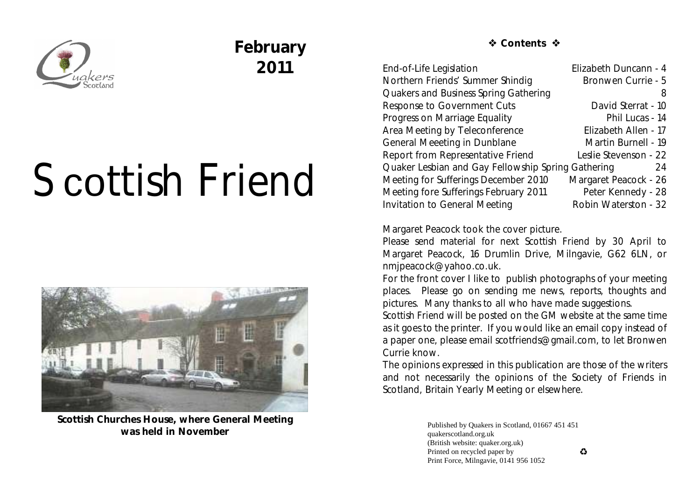

## **February 2011**

# Scottish Friend



**Scottish Churches House, where General Meeting was held in November**

 **☆ Contents ☆** 

| End-of-Life Legislation                                  | Elizabeth Duncann - 4 |
|----------------------------------------------------------|-----------------------|
| Northern Friends' Summer Shindig                         | Bronwen Currie - 5    |
| Quakers and Business Spring Gathering                    | 8                     |
| Response to Government Cuts                              | David Sterrat - 10    |
| Progress on Marriage Equality                            | Phil Lucas - 14       |
| Area Meeting by Teleconference                           | Elizabeth Allen - 17  |
| General Meeeting in Dunblane                             | Martin Burnell - 19   |
| Report from Representative Friend                        | Leslie Stevenson - 22 |
| Quaker Lesbian and Gay Fellowship Spring Gathering<br>24 |                       |
| Meeting for Sufferings December 2010                     | Margaret Peacock - 26 |
| Meeting fore Sufferings February 2011                    | Peter Kennedy - 28    |
| <b>Invitation to General Meeting</b>                     | Robin Waterston - 32  |
|                                                          |                       |

Margaret Peacock took the cover picture.

Please send material for next *Scottish Friend* by 30 April to Margaret Peacock, 16 Drumlin Drive, Milngavie, G62 6LN, or nmjpeacock@yahoo.co.uk.

For the front cover I like to publish photographs of your meeting places. Please go on sending me news, reports, thoughts and pictures. Many thanks to all who have made suggestions.

*Scottish Friend* will be posted on the GM website at the same time as it goes to the printer. If you would like an email copy instead of a paper one, please email scotfriends@gmail.com, to let Bronwen Currie know.

The opinions expressed in this publication are those of the writers and not necessarily the opinions of the Society of Friends in Scotland, Britain Yearly Meeting or elsewhere.

> Published by Quakers in Scotland, 01667 451 451 quakerscotland.org.uk (British website: quaker.org.uk) Printed on recycled paper by Print Force, Milngavie, 0141 956 1052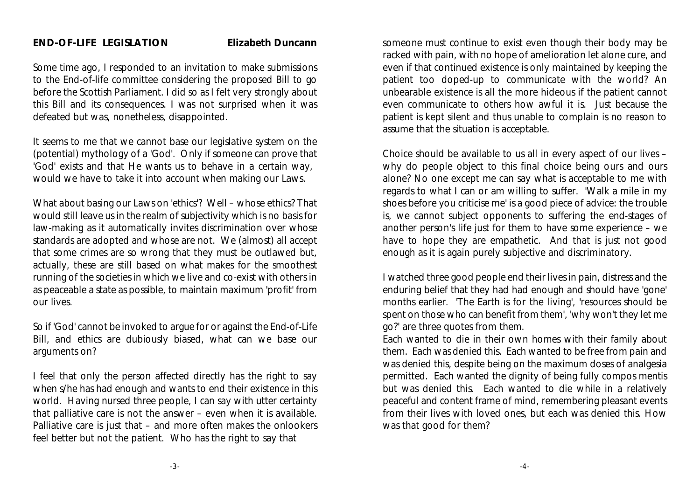Some time ago, I responded to an invitation to make submissions to the End-of-life committee considering the proposed Bill to go before the Scottish Parliament. I did so as I felt very strongly about this Bill and its consequences. I was not surprised when it was defeated but was, nonetheless, disappointed.

It seems to me that we cannot base our legislative system on the (potential) mythology of a 'God'. Only if someone can prove that 'God' exists and that He wants us to behave in a certain way, would we have to take it into account when making our Laws.

What about basing our Laws on 'ethics'? Well – whose ethics? That would still leave us in the realm of subjectivity which is no basis for law-making as it automatically invites discrimination over whose standards are adopted and whose are not. We (almost) all accept that some crimes are so wrong that they must be outlawed but, actually, these are still based on what makes for the smoothest running of the societies in which we live and co-exist with others in as peaceable a state as possible, to maintain maximum 'profit' from our lives.

So if 'God' cannot be invoked to argue for or against the End-of-Life Bill, and ethics are dubiously biased, what can we base our arguments on?

I feel that only the person affected directly has the right to say when s/he has had enough and wants to end their existence in this world. Having nursed three people, I can say with utter certainty that palliative care is not the answer – even when it is available. Palliative care is just that – and more often makes the onlookers feel better but not the patient. Who has the right to say that

someone must continue to exist even though their body may be racked with pain, with no hope of amelioration let alone cure, and even if that continued existence is only maintained by keeping the patient too doped-up to communicate with the world? An unbearable existence is all the more hideous if the patient cannot even communicate to others how awful it is. Just because the patient is kept silent and thus unable to complain is no reason to assume that the situation is acceptable.

Choice should be available to us all in every aspect of our lives – why do people object to this final choice being ours and ours alone? No one except me can say what is acceptable to me with regards to what I can or am willing to suffer. 'Walk a mile in my shoes before you criticise me' is a good piece of advice: the trouble is, we cannot subject opponents to suffering the end-stages of another person's life just for them to have some experience – we have to hope they are empathetic. And that is just not good enough as it is again purely subjective and discriminatory.

I watched three good people end their lives in pain, distress and the enduring belief that they had had enough and should have 'gone' months earlier. 'The Earth is for the living', 'resources should be spent on those who can benefit from them', 'why won't they let me go?' are three quotes from them.

Each wanted to die in their own homes with their family about them. Each was denied this. Each wanted to be free from pain and was denied this, despite being on the maximum doses of analgesia permitted. Each wanted the dignity of being fully compos mentis but was denied this. Each wanted to die while in a relatively peaceful and content frame of mind, remembering pleasant events from their lives with loved ones, but each was denied this. How was that good for them?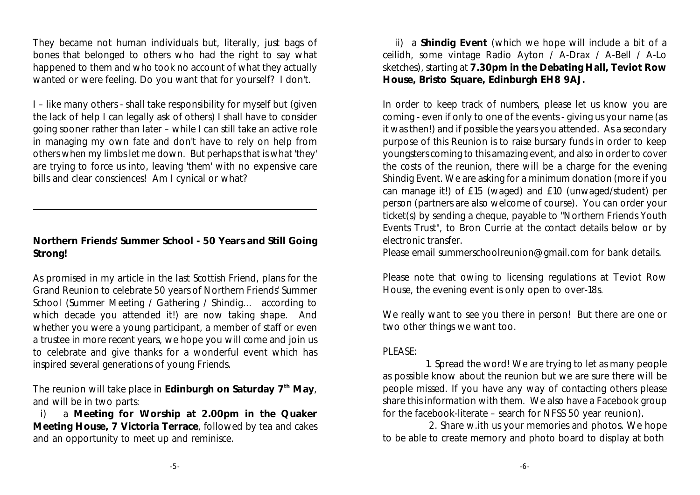They became not human individuals but, literally, just bags of bones that belonged to others who had the right to say what happened to them and who took no account of what they actually wanted or were feeling. Do you want that for yourself? I don't.

I – like many others - shall take responsibility for myself but (given the lack of help I can legally ask of others) I shall have to consider going sooner rather than later – while I can still take an active role in managing my own fate and don't have to rely on help from others when my limbs let me down. But perhaps that is what 'they' are trying to force us into, leaving 'them' with no expensive care bills and clear consciences! Am I cynical or what?

**Northern Friends' Summer School - 50 Years and Still Going Strong!**

As promised in my article in the last Scottish Friend, plans for the Grand Reunion to celebrate 50 years of Northern Friends' Summer School (Summer Meeting / Gathering / Shindig… according to which decade you attended it!) are now taking shape. And whether you were a young participant, a member of staff or even a trustee in more recent years, we hope you will come and join us to celebrate and give thanks for a wonderful event which has inspired several generations of young Friends.

The reunion will take place in Edinburgh on Saturday 7<sup>th</sup> May, and will be in two parts:

i) a **Meeting for Worship at 2.00pm in the Quaker Meeting House, 7 Victoria Terrace**, followed by tea and cakes and an opportunity to meet up and reminisce.

 ii) a **Shindig Event** (which we hope will include a bit of a ceilidh, some vintage Radio Ayton / A-Drax / A-Bell / A-Lo sketches), starting at **7.30pm in the Debating Hall, Teviot Row House, Bristo Square, Edinburgh EH8 9AJ.**

In order to keep track of numbers, please let us know you are coming - even if only to one of the events - giving us your name (as it was then!) and if possible the years you attended. As a secondary purpose of this Reunion is to raise bursary funds in order to keep youngsters coming to this amazing event, and also in order to cover the costs of the reunion, there will be a charge for the evening Shindig Event. We are asking for a minimum donation (more if you can manage it!) of £15 (waged) and £10 (unwaged/student) per person (partners are also welcome of course). You can order your ticket(s) by sending a cheque, payable to "Northern Friends Youth Events Trust", to Bron Currie at the contact details below or by electronic transfer.

Please email summerschoolreunion@gmail.com for bank details.

Please note that owing to licensing regulations at Teviot Row House, the evening event is only open to over-18s.

We really want to see you there in person! But there are one or two other things we want too.

#### PLEASE:

 1. Spread the word! We are trying to let as many people as possible know about the reunion but we are sure there will be people missed. If you have any way of contacting others please share this information with them. We also have a Facebook group for the facebook-literate – search for NFSS 50 year reunion).

 2. Share w.ith us your memories and photos. We hope to be able to create memory and photo board to display at both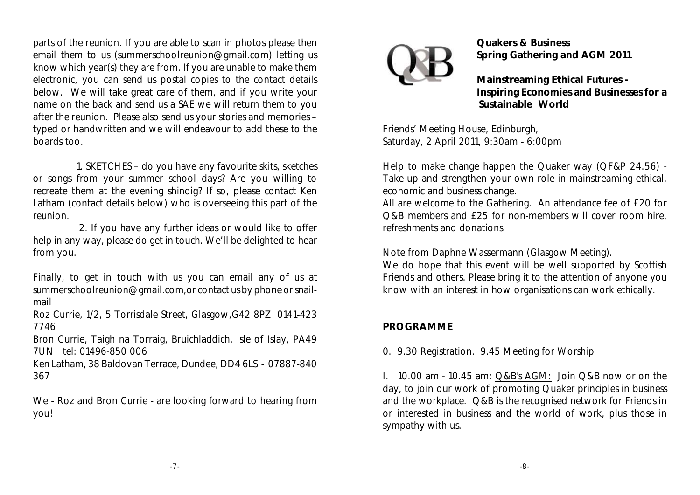parts of the reunion. If you are able to scan in photos please then email them to us (summerschoolreunion@gmail.com) letting us know which year(s) they are from. If you are unable to make them electronic, you can send us postal copies to the contact details below. We will take great care of them, and if you write your name on the back and send us a SAE we will return them to you after the reunion. Please also send us your stories and memories – typed or handwritten and we will endeavour to add these to the boards too.

 1. SKETCHES – do you have any favourite skits, sketches or songs from your summer school days? Are you willing to recreate them at the evening shindig? If so, please contact Ken Latham (contact details below) who is overseeing this part of the reunion.

 2. If you have any further ideas or would like to offer help in any way, please do get in touch. We'll be delighted to hear from you.

Finally, to get in touch with us you can email any of us at summerschoolreunion@gmail.com,or contact us by phone or snailmail

Roz Currie, 1/2, 5 Torrisdale Street, Glasgow,G42 8PZ 0141-423 7746

Bron Currie, Taigh na Torraig, Bruichladdich, Isle of Islay, PA49 7UN tel: 01496-850 006

Ken Latham, 38 Baldovan Terrace, Dundee, DD4 6LS - 07887-840 367

We - Roz and Bron Currie - are looking forward to hearing from you!



**Quakers & Business Spring Gathering and AGM 2011** 

**Mainstreaming Ethical Futures - Inspiring Economies and Businesses for a Sustainable World**

Friends' Meeting House, Edinburgh, Saturday, 2 April 2011, 9:30am - 6:00pm

Help to make change happen the Quaker way (QF&P 24.56) - Take up and strengthen your own role in mainstreaming ethical, economic and business change.

All are welcome to the Gathering. An attendance fee of £20 for Q&B members and £25 for non-members will cover room hire, refreshments and donations.

Note from Daphne Wassermann (Glasgow Meeting).

We do hope that this event will be well supported by Scottish Friends and others. Please bring it to the attention of anyone you know with an interest in how organisations can work ethically.

#### **PROGRAMME**

0. 9.30 Registration. 9.45 Meeting for Worship

I. 10.00 am - 10.45 am: Q&B's AGM: Join Q&B now or on the day, to join our work of promoting Quaker principles in business and the workplace. Q&B is the recognised network for Friends in or interested in business and the world of work, plus those in sympathy with us.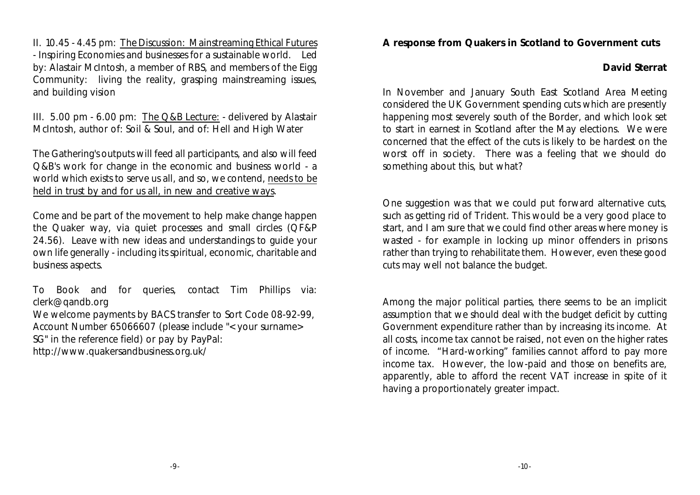II. 10.45 - 4.45 pm: The Discussion: Mainstreaming Ethical Futures - Inspiring Economies and businesses for a sustainable world. Led by: Alastair McIntosh, a member of RBS, and members of the Eigg Community: living the reality, grasping mainstreaming issues, and building vision

III. 5.00 pm - 6.00 pm: The Q&B Lecture: - delivered by Alastair McIntosh, author of: Soil & Soul, and of: Hell and High Water

The Gathering's outputs will feed all participants, and also will feed Q&B's work for change in the economic and business world - a world which exists to serve us all, and so, we contend, needs to be held in trust by and for us all, in new and creative ways.

Come and be part of the movement to help make change happen the Quaker way, via quiet processes and small circles (QF&P 24.56). Leave with new ideas and understandings to guide your own life generally - including its spiritual, economic, charitable and business aspects.

To Book and for queries, contact Tim Phillips via: clerk@qandb.org

We welcome payments by BACS transfer to Sort Code 08-92-99, Account Number 65066607 (please include "<your surname> SG" in the reference field) or pay by PayPal:

http://www.quakersandbusiness.org.uk/

**A response from Quakers in Scotland to Government cuts**

**David Sterrat**

In November and January South East Scotland Area Meeting considered the UK Government spending cuts which are presently happening most severely south of the Border, and which look set to start in earnest in Scotland after the May elections. We were concerned that the effect of the cuts is likely to be hardest on the worst off in society. There was a feeling that we should do something about this, but what?

One suggestion was that we could put forward alternative cuts, such as getting rid of Trident. This would be a very good place to start, and I am sure that we could find other areas where money is wasted - for example in locking up minor offenders in prisons rather than trying to rehabilitate them. However, even these good cuts may well not balance the budget.

Among the major political parties, there seems to be an implicit assumption that we should deal with the budget deficit by cutting Government expenditure rather than by increasing its income. At all costs, income tax cannot be raised, not even on the higher rates of income. "Hard-working" families cannot afford to pay more income tax. However, the low-paid and those on benefits are, apparently, able to afford the recent VAT increase in spite of it having a proportionately greater impact.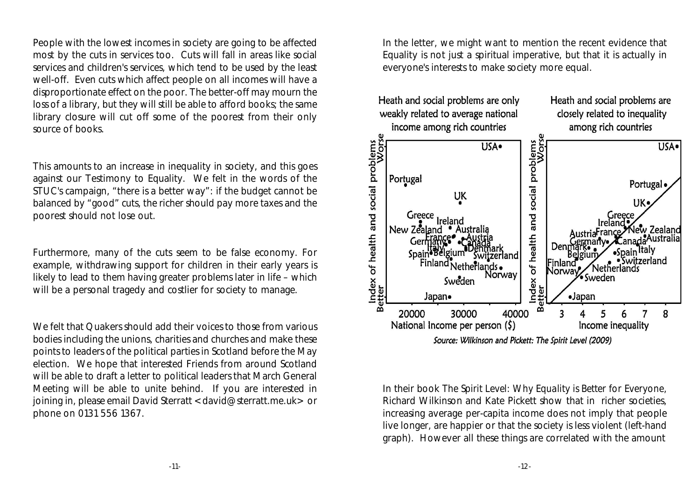People with the lowest incomes in society are going to be affected most by the cuts in services too. Cuts will fall in areas like social services and children's services, which tend to be used by the least well-off. Even cuts which affect people on all incomes will have a disproportionate effect on the poor. The better-off may mourn the loss of a library, but they will still be able to afford books; the same library closure will cut off some of the poorest from their only source of books.

This amounts to an increase in inequality in society, and this goes against our Testimony to Equality. We felt in the words of the STUC's campaign, "there is a better way": if the budget cannot be balanced by "good" cuts, the richer should pay more taxes and the poorest should not lose out.

Furthermore, many of the cuts seem to be false economy. For example, withdrawing support for children in their early years is likely to lead to them having greater problems later in life – which will be a personal tragedy and costlier for society to manage.

We felt that Quakers should add their voices to those from various bodies including the unions, charities and churches and make these points to leaders of the political parties in Scotland before the May election. We hope that interested Friends from around Scotland will be able to draft a letter to political leaders that March General Meeting will be able to unite behind. If you are interested in joining in, please email David Sterratt <david@sterratt.me.uk> or phone on 0131 556 1367.

In the letter, we might want to mention the recent evidence that Equality is not just a spiritual imperative, but that it is actually in everyone's interests to make society more equal.



In their book *The Spirit Level: Why Equality is Better for Everyone*, Richard Wilkinson and Kate Pickett show that in richer societies, increasing average per-capita income does not imply that people live longer, are happier or that the society is less violent (left-hand graph). However all these things are correlated with the amount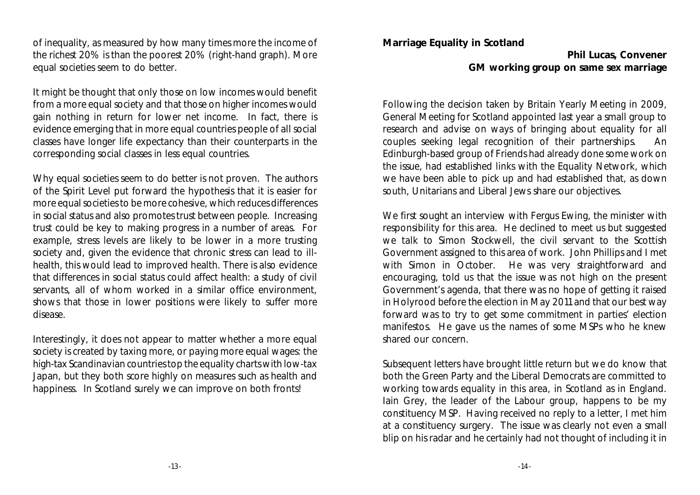of inequality, as measured by how many times more the income of the richest 20% is than the poorest 20% (right-hand graph). More equal societies seem to do better.

It might be thought that only those on low incomes would benefit from a more equal society and that those on higher incomes would gain nothing in return for lower net income. In fact, there is evidence emerging that in more equal countries people of all social classes have longer life expectancy than their counterparts in the corresponding social classes in less equal countries.

Why equal societies seem to do better is not proven. The authors of the Spirit Level put forward the hypothesis that it is easier for more equal societies to be more cohesive, which reduces differences in social status and also promotes trust between people. Increasing trust could be key to making progress in a number of areas. For example, stress levels are likely to be lower in a more trusting society and, given the evidence that chronic stress can lead to illhealth, this would lead to improved health. There is also evidence that differences in social status could affect health: a study of civil servants, all of whom worked in a similar office environment, shows that those in lower positions were likely to suffer more disease.

Interestingly, it does not appear to matter whether a more equal society is created by taxing more, or paying more equal wages: the high-tax Scandinavian countries top the equality charts with low-tax Japan, but they both score highly on measures such as health and happiness. In Scotland surely we can improve on both fronts!

**Marriage Equality in Scotland**

**Phil Lucas, Convener GM working group on same sex marriage**

Following the decision taken by Britain Yearly Meeting in 2009, General Meeting for Scotland appointed last year a small group to research and advise on ways of bringing about equality for all couples seeking legal recognition of their partnerships. An Edinburgh-based group of Friends had already done some work on the issue, had established links with the Equality Network, which we have been able to pick up and had established that, as down south, Unitarians and Liberal Jews share our objectives.

We first sought an interview with Fergus Ewing, the minister with responsibility for this area. He declined to meet us but suggested we talk to Simon Stockwell, the civil servant to the Scottish Government assigned to this area of work. John Phillips and I met with Simon in October. He was very straightforward and encouraging, told us that the issue was not high on the present Government's agenda, that there was no hope of getting it raised in Holyrood before the election in May 2011 and that our best way forward was to try to get some commitment in parties' election manifestos. He gave us the names of some MSPs who he knew shared our concern.

Subsequent letters have brought little return but we do know that both the Green Party and the Liberal Democrats are committed to working towards equality in this area, in Scotland as in England. Iain Grey, the leader of the Labour group, happens to be my constituency MSP. Having received no reply to a letter, I met him at a constituency surgery. The issue was clearly not even a small blip on his radar and he certainly had not thought of including it in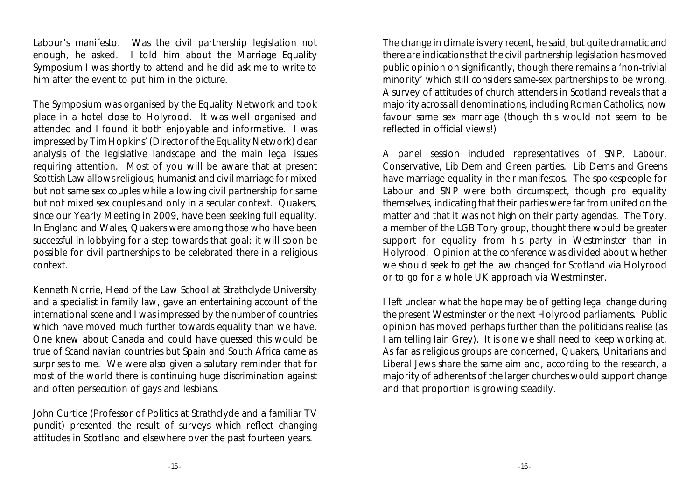Labour's manifesto. Was the civil partnership legislation not enough, he asked. I told him about the Marriage Equality Symposium I was shortly to attend and he did ask me to write to him after the event to put him in the picture.

The Symposium was organised by the Equality Network and took place in a hotel close to Holyrood. It was well organised and attended and I found it both enjoyable and informative. I was impressed by Tim Hopkins' (Director of the Equality Network) clear analysis of the legislative landscape and the main legal issues requiring attention. Most of you will be aware that at present Scottish Law allows religious, humanist and civil marriage for mixed but not same sex couples while allowing civil partnership for same but not mixed sex couples and only in a secular context. Quakers, since our Yearly Meeting in 2009, have been seeking full equality. In England and Wales, Quakers were among those who have been successful in lobbying for a step towards that goal: it will soon be possible for civil partnerships to be celebrated there in a religious context.

Kenneth Norrie, Head of the Law School at Strathclyde University and a specialist in family law, gave an entertaining account of the international scene and I was impressed by the number of countries which have moved much further towards equality than we have. One knew about Canada and could have guessed this would be true of Scandinavian countries but Spain and South Africa came as surprises to me. We were also given a salutary reminder that for most of the world there is continuing huge discrimination against and often persecution of gays and lesbians.

John Curtice (Professor of Politics at Strathclyde and a familiar TV pundit) presented the result of surveys which reflect changing attitudes in Scotland and elsewhere over the past fourteen years.

The change in climate is very recent, he said, but quite dramatic and there are indications that the civil partnership legislation has moved public opinion on significantly, though there remains a 'non-trivial minority' which still considers same-sex partnerships to be wrong. A survey of attitudes of church attenders in Scotland reveals that a majority across all denominations, including Roman Catholics, now favour same sex marriage (though this would not seem to be reflected in official views!)

A panel session included representatives of SNP, Labour, Conservative, Lib Dem and Green parties. Lib Dems and Greens have marriage equality in their manifestos. The spokespeople for Labour and SNP were both circumspect, though pro equality themselves, indicating that their parties were far from united on the matter and that it was not high on their party agendas. The Tory, a member of the LGB Tory group, thought there would be greater support for equality from his party in Westminster than in Holyrood. Opinion at the conference was divided about whether we should seek to get the law changed for Scotland via Holyrood or to go for a whole UK approach via Westminster.

I left unclear what the hope may be of getting legal change during the present Westminster or the next Holyrood parliaments. Public opinion has moved perhaps further than the politicians realise (as I am telling Iain Grey). It is one we shall need to keep working at. As far as religious groups are concerned, Quakers, Unitarians and Liberal Jews share the same aim and, according to the research, a majority of adherents of the larger churches would support change and that proportion is growing steadily.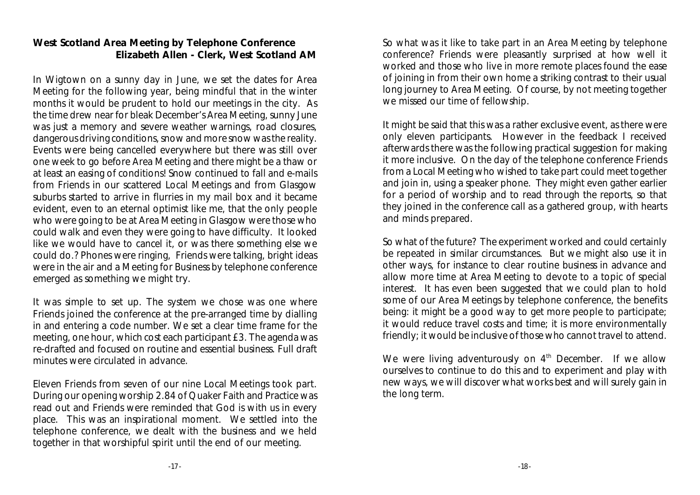#### **West Scotland Area Meeting by Telephone Conference Elizabeth Allen - Clerk, West Scotland AM**

In Wigtown on a sunny day in June, we set the dates for Area Meeting for the following year, being mindful that in the winter months it would be prudent to hold our meetings in the city. As the time drew near for bleak December's Area Meeting, sunny June was just a memory and severe weather warnings, road closures, dangerous driving conditions, snow and more snow was the reality. Events were being cancelled everywhere but there was still over one week to go before Area Meeting and there might be a thaw or at least an easing of conditions! Snow continued to fall and e-mails from Friends in our scattered Local Meetings and from Glasgow suburbs started to arrive in flurries in my mail box and it became evident, even to an eternal optimist like me, that the only people who were going to be at Area Meeting in Glasgow were those who could walk and even they were going to have difficulty. It looked like we would have to cancel it, or was there something else we could do.? Phones were ringing, Friends were talking, bright ideas were in the air and a Meeting for Business by telephone conference emerged as something we might try.

It was simple to set up. The system we chose was one where Friends joined the conference at the pre-arranged time by dialling in and entering a code number. We set a clear time frame for the meeting, one hour, which cost each participant £3. The agenda was re-drafted and focused on routine and essential business. Full draft minutes were circulated in advance.

Eleven Friends from seven of our nine Local Meetings took part. During our opening worship 2.84 of Quaker Faith and Practice was read out and Friends were reminded that God is with us in every place. This was an inspirational moment. We settled into the telephone conference, we dealt with the business and we held together in that worshipful spirit until the end of our meeting.

So what was it like to take part in an Area Meeting by telephone conference? Friends were pleasantly surprised at how well it worked and those who live in more remote places found the ease of joining in from their own home a striking contrast to their usual long journey to Area Meeting. Of course, by not meeting together we missed our time of fellowship.

It might be said that this was a rather exclusive event, as there were only eleven participants. However in the feedback I received afterwards there was the following practical suggestion for making it more inclusive. On the day of the telephone conference Friends from a Local Meeting who wished to take part could meet together and join in, using a speaker phone. They might even gather earlier for a period of worship and to read through the reports, so that they joined in the conference call as a gathered group, with hearts and minds prepared.

So what of the future? The experiment worked and could certainly be repeated in similar circumstances. But we might also use it in other ways, for instance to clear routine business in advance and allow more time at Area Meeting to devote to a topic of special interest. It has even been suggested that we could plan to hold some of our Area Meetings by telephone conference, the benefits being: it might be a good way to get more people to participate; it would reduce travel costs and time; it is more environmentally friendly; it would be inclusive of those who cannot travel to attend.

We were living adventurously on  $4<sup>th</sup>$  December. If we allow ourselves to continue to do this and to experiment and play with new ways, we will discover what works best and will surely gain in the long term.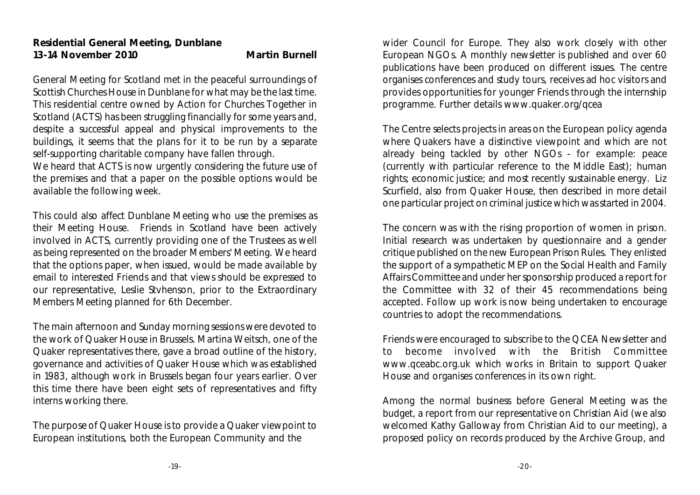General Meeting for Scotland met in the peaceful surroundings of Scottish Churches House in Dunblane for what may be the last time. This residential centre owned by Action for Churches Together in Scotland (ACTS) has been struggling financially for some years and, despite a successful appeal and physical improvements to the buildings, it seems that the plans for it to be run by a separate self-supporting charitable company have fallen through. We heard that ACTS is now urgently considering the future use of

the premises and that a paper on the possible options would be available the following week.

This could also affect Dunblane Meeting who use the premises as their Meeting House. Friends in Scotland have been actively involved in ACTS, currently providing one of the Trustees as well as being represented on the broader Members' Meeting. We heard that the options paper, when issued, would be made available by email to interested Friends and that views should be expressed to our representative, Leslie Stvhenson, prior to the Extraordinary Members Meeting planned for 6th December.

The main afternoon and Sunday morning sessions were devoted to the work of Quaker House in Brussels. Martina Weitsch, one of the Quaker representatives there, gave a broad outline of the history, governance and activities of Quaker House which was established in 1983, although work in Brussels began four years earlier. Over this time there have been eight sets of representatives and fifty interns working there.

The purpose of Quaker House is to provide a Quaker viewpoint to European institutions, both the European Community and the

wider Council for Europe. They also work closely with other European NGOs. A monthly newsletter is published and over 60 publications have been produced on different issues. The centre organises conferences and study tours, receives ad hoc visitors and provides opportunities for younger Friends through the internship programme. Further details www.quaker.org/qcea

The Centre selects projects in areas on the European policy agenda where Quakers have a distinctive viewpoint and which are not already being tackled by other NGOs - for example: peace (currently with particular reference to the Middle East); human rights; economic justice; and most recently sustainable energy. Liz Scurfield, also from Quaker House, then described in more detail one particular project on criminal justice which was started in 2004.

The concern was with the rising proportion of women in prison. Initial research was undertaken by questionnaire and a gender critique published on the new European Prison Rules. They enlisted the support of a sympathetic MEP on the Social Health and Family Affairs Committee and under her sponsorship produced a report for the Committee with 32 of their 45 recommendations being accepted. Follow up work is now being undertaken to encourage countries to adopt the recommendations.

Friends were encouraged to subscribe to the QCEA Newsletter and to become involved with the British Committee www.qceabc.org.uk which works in Britain to support Quaker House and organises conferences in its own right.

Among the normal business before General Meeting was the budget, a report from our representative on Christian Aid (we also welcomed Kathy Galloway from Christian Aid to our meeting), a proposed policy on records produced by the Archive Group, and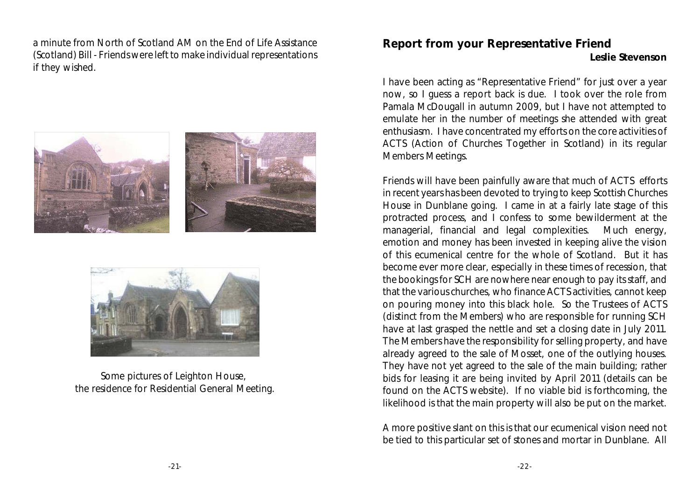a minute from North of Scotland AM on the End of Life Assistance (Scotland) Bill - Friends were left to make individual representations if they wished.





Some pictures of Leighton House, the residence for Residential General Meeting.

### **Report from your Representative Friend**

**Leslie Stevenson**

I have been acting as "Representative Friend" for just over a year now, so I guess a report back is due. I took over the role from Pamala McDougall in autumn 2009, but I have not attempted to emulate her in the number of meetings she attended with great enthusiasm. I have concentrated my efforts on the core activities of ACTS (Action of Churches Together in Scotland) in its regular Members Meetings.

Friends will have been painfully aware that much of ACTS efforts in recent years has been devoted to trying to keep Scottish Churches House in Dunblane going. I came in at a fairly late stage of this protracted process, and I confess to some bewilderment at the managerial, financial and legal complexities. Much energy, emotion and money has been invested in keeping alive the vision of this ecumenical centre for the whole of Scotland. But it has become ever more clear, especially in these times of recession, that the bookings for SCH are nowhere near enough to pay its staff, and that the various churches, who finance ACTS activities, cannot keep on pouring money into this black hole. So the Trustees of ACTS (distinct from the Members) who are responsible for running SCH have at last grasped the nettle and set a closing date in July 2011. The Members have the responsibility for selling property, and have already agreed to the sale of Mosset, one of the outlying houses. They have not yet agreed to the sale of the main building; rather bids for leasing it are being invited by April 2011 (details can be found on the ACTS website). If no viable bid is forthcoming, the likelihood is that the main property will also be put on the market.

A more positive slant on this is that our ecumenical vision need not be tied to this particular set of stones and mortar in Dunblane. All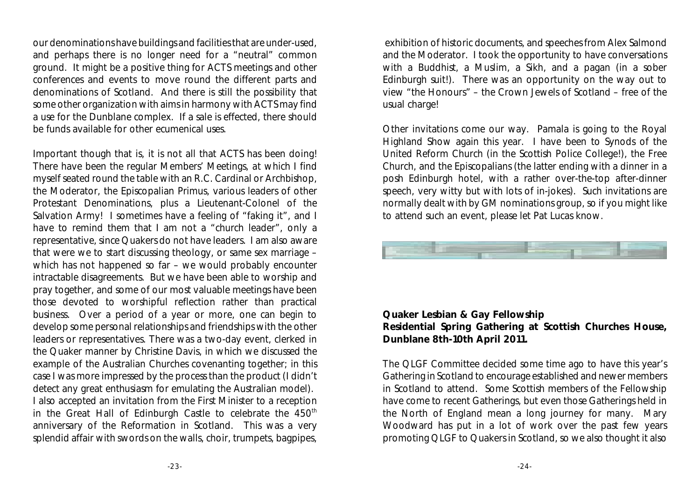our denominations have buildings and facilities that are under-used, and perhaps there is no longer need for a "neutral" common ground. It might be a positive thing for ACTS meetings and other conferences and events to move round the different parts and denominations of Scotland. And there is still the possibility that some other organization with aims in harmony with ACTS may find a use for the Dunblane complex. If a sale is effected, there should be funds available for other ecumenical uses.

Important though that is, it is not all that ACTS has been doing! There have been the regular Members' Meetings, at which I find myself seated round the table with an R.C. Cardinal or Archbishop, the Moderator, the Episcopalian Primus, various leaders of other Protestant Denominations, plus a Lieutenant-Colonel of the Salvation Army! I sometimes have a feeling of "faking it", and I have to remind them that I am not a "church leader", only a representative, since Quakers do not have leaders. I am also aware that were we to start discussing theology, or same sex marriage – which has not happened so far – we would probably encounter intractable disagreements. But we have been able to worship and pray together, and some of our most valuable meetings have been those devoted to worshipful reflection rather than practical business. Over a period of a year or more, one can begin to develop some personal relationships and friendships with the other leaders or representatives. There was a two-day event, clerked in the Quaker manner by Christine Davis, in which we discussed the example of the Australian Churches covenanting together; in this case I was more impressed by the process than the product (I didn't detect any great enthusiasm for emulating the Australian model). I also accepted an invitation from the First Minister to a reception in the Great Hall of Edinburgh Castle to celebrate the 450<sup>th</sup> anniversary of the Reformation in Scotland. This was a very splendid affair with swords on the walls, choir, trumpets, bagpipes,

 exhibition of historic documents, and speeches from Alex Salmond and the Moderator. I took the opportunity to have conversations with a Buddhist, a Muslim, a Sikh, and a pagan (in a sober Edinburgh suit!). There was an opportunity on the way out to view "the Honours" – the Crown Jewels of Scotland – free of the usual charge!

Other invitations come our way. Pamala is going to the Royal Highland Show again this year. I have been to Synods of the United Reform Church (in the Scottish Police College!), the Free Church, and the Episcopalians (the latter ending with a dinner in a posh Edinburgh hotel, with a rather over-the-top after-dinner speech, very witty but with lots of in-jokes). Such invitations are normally dealt with by GM nominations group, so if you might like to attend such an event, please let Pat Lucas know.



**Quaker Lesbian & Gay Fellowship Residential Spring Gathering at Scottish Churches House, Dunblane 8th-10th April 2011.**

The QLGF Committee decided some time ago to have this year's Gathering in Scotland to encourage established and newer members in Scotland to attend. Some Scottish members of the Fellowship have come to recent Gatherings, but even those Gatherings held in the North of England mean a long journey for many. Mary Woodward has put in a lot of work over the past few years promoting QLGF to Quakers in Scotland, so we also thought it also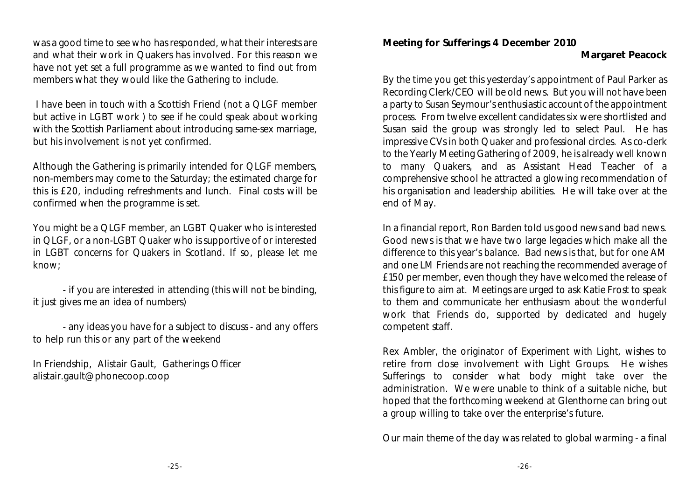was a good time to see who has responded, what their interests are and what their work in Quakers has involved. For this reason we have not yet set a full programme as we wanted to find out from members what they would like the Gathering to include.

 I have been in touch with a Scottish Friend (not a QLGF member but active in LGBT work ) to see if he could speak about working with the Scottish Parliament about introducing same-sex marriage, but his involvement is not yet confirmed.

Although the Gathering is primarily intended for QLGF members, non-members may come to the Saturday; the estimated charge for this is £20, including refreshments and lunch. Final costs will be confirmed when the programme is set.

You might be a QLGF member, an LGBT Quaker who is interested in QLGF, or a non-LGBT Quaker who is supportive of or interested in LGBT concerns for Quakers in Scotland. If so, please let me know;

- if you are interested in attending (this will not be binding, it just gives me an idea of numbers)

- any ideas you have for a subject to discuss - and any offers to help run this or any part of the weekend

In Friendship, Alistair Gault, Gatherings Officer alistair.gault@phonecoop.coop

**Meeting for Sufferings 4 December 2010**

By the time you get this yesterday's appointment of Paul Parker as Recording Clerk/CEO will be old news. But you will not have been a party to Susan Seymour's enthusiastic account of the appointment process. From twelve excellent candidates six were shortlisted and Susan said the group was strongly led to select Paul. He has impressive CVs in both Quaker and professional circles. As co-clerk to the Yearly Meeting Gathering of 2009, he is already well known to many Quakers, and as Assistant Head Teacher of a comprehensive school he attracted a glowing recommendation of his organisation and leadership abilities. He will take over at the end of May.

In a financial report, Ron Barden told us good news and bad news. Good news is that we have two large legacies which make all the difference to this year's balance. Bad news is that, but for one AM and one LM Friends are not reaching the recommended average of £150 per member, even though they have welcomed the release of this figure to aim at. Meetings are urged to ask Katie Frost to speak to them and communicate her enthusiasm about the wonderful work that Friends do, supported by dedicated and hugely competent staff.

Rex Ambler, the originator of *Experiment with Light*, wishes to retire from close involvement with Light Groups. He wishes Sufferings to consider what body might take over the administration. We were unable to think of a suitable niche, but hoped that the forthcoming weekend at Glenthorne can bring out a group willing to take over the enterprise's future.

Our main theme of the day was related to global warming - a final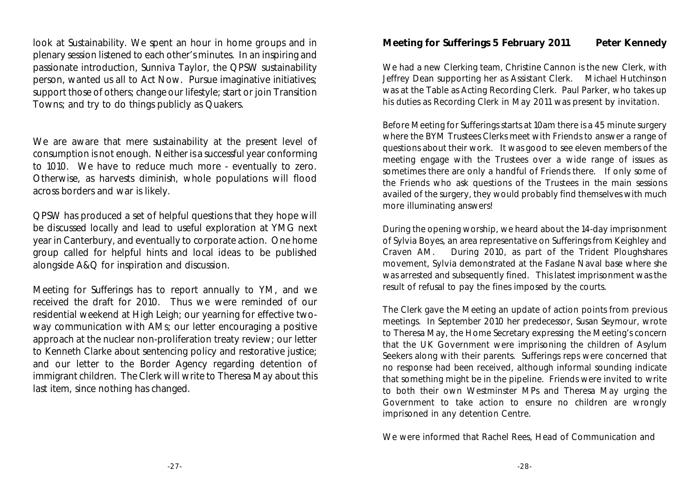look at Sustainability. We spent an hour in home groups and in plenary session listened to each other's minutes. In an inspiring and passionate introduction, Sunniva Taylor, the QPSW sustainability person, wanted us all to Act Now. Pursue imaginative initiatives; support those of others; change our lifestyle; start or join Transition Towns; and try to do things publicly as Quakers.

We are aware that mere sustainability at the present level of consumption is not enough. Neither is a successful year conforming to 1010. We have to reduce much more - eventually to zero. Otherwise, as harvests diminish, whole populations will flood across borders and war is likely.

QPSW has produced a set of helpful questions that they hope will be discussed locally and lead to useful exploration at YMG next year in Canterbury, and eventually to corporate action. One home group called for helpful hints and local ideas to be published alongside A&Q for inspiration and discussion.

Meeting for Sufferings has to report annually to YM, and we received the draft for 2010. Thus we were reminded of our residential weekend at High Leigh; our yearning for effective twoway communication with AMs; our letter encouraging a positive approach at the nuclear non-proliferation treaty review; our letter to Kenneth Clarke about sentencing policy and restorative justice; and our letter to the Border Agency regarding detention of immigrant children. The Clerk will write to Theresa May about this last item, since nothing has changed.

**Meeting for Sufferings 5 February 2011 Peter Kennedy**

We had a new Clerking team, Christine Cannon is the new Clerk, with Jeffrey Dean supporting her as Assistant Clerk. Michael Hutchinson was at the Table as Acting Recording Clerk. Paul Parker, who takes up his duties as Recording Clerk in May 2011 was present by invitation.

Before Meeting for Sufferings starts at 10am there is a 45 minute surgery where the BYM Trustees Clerks meet with Friends to answer a range of questions about their work. It was good to see eleven members of the meeting engage with the Trustees over a wide range of issues as sometimes there are only a handful of Friends there. If only some of the Friends who ask questions of the Trustees in the main sessions availed of the surgery, they would probably find themselves with much more illuminating answers!

During the opening worship, we heard about the 14-day imprisonment of Sylvia Boyes, an area representative on Sufferings from Keighley and Craven AM. During 2010, as part of the Trident Ploughshares movement, Sylvia demonstrated at the Faslane Naval base where she was arrested and subsequently fined. This latest imprisonment was the result of refusal to pay the fines imposed by the courts.

The Clerk gave the Meeting an update of action points from previous meetings. In September 2010 her predecessor, Susan Seymour, wrote to Theresa May, the Home Secretary expressing the Meeting's concern that the UK Government were imprisoning the children of Asylum Seekers along with their parents. Sufferings reps were concerned that no response had been received, although informal sounding indicate that something might be in the pipeline. Friends were invited to write to both their own Westminster MPs and Theresa May urging the Government to take action to ensure no children are wrongly imprisoned in any detention Centre.

We were informed that Rachel Rees, Head of Communication and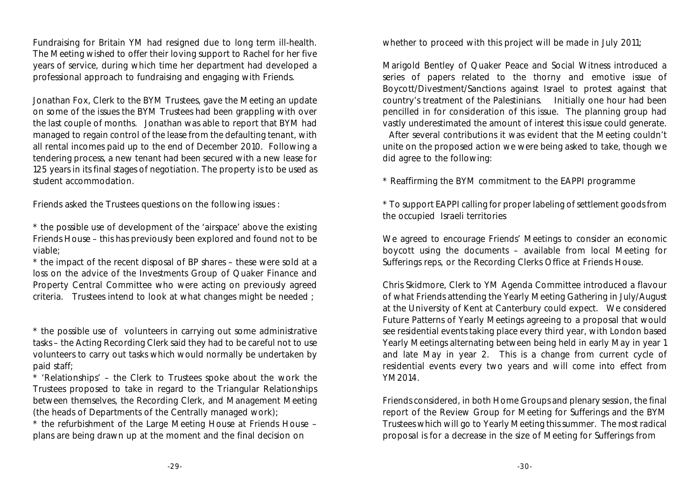Fundraising for Britain YM had resigned due to long term ill-health. The Meeting wished to offer their loving support to Rachel for her five years of service, during which time her department had developed a professional approach to fundraising and engaging with Friends.

Jonathan Fox, Clerk to the BYM Trustees, gave the Meeting an update on some of the issues the BYM Trustees had been grappling with over the last couple of months. Jonathan was able to report that BYM had managed to regain control of the lease from the defaulting tenant, with all rental incomes paid up to the end of December 2010. Following a tendering process, a new tenant had been secured with a new lease for 125 years in its final stages of negotiation. The property is to be used as student accommodation.

Friends asked the Trustees questions on the following issues :

\* the possible use of development of the 'airspace' above the existing Friends House – this has previously been explored and found not to be viable;

\* the impact of the recent disposal of BP shares – these were sold at a loss on the advice of the Investments Group of Quaker Finance and Property Central Committee who were acting on previously agreed criteria. Trustees intend to look at what changes might be needed ;

\* the possible use of volunteers in carrying out some administrative tasks – the Acting Recording Clerk said they had to be careful not to use volunteers to carry out tasks which would normally be undertaken by paid staff;

\* 'Relationships' – the Clerk to Trustees spoke about the work the Trustees proposed to take in regard to the Triangular Relationships between themselves, the Recording Clerk, and Management Meeting (the heads of Departments of the Centrally managed work);

\* the refurbishment of the Large Meeting House at Friends House – plans are being drawn up at the moment and the final decision on

whether to proceed with this project will be made in July 2011;

Marigold Bentley of Quaker Peace and Social Witness introduced a series of papers related to the thorny and emotive issue of Boycott/Divestment/Sanctions against Israel to protest against that country's treatment of the Palestinians. Initially one hour had been pencilled in for consideration of this issue. The planning group had vastly underestimated the amount of interest this issue could generate.

 After several contributions it was evident that the Meeting couldn't unite on the proposed action we were being asked to take, though we did agree to the following:

\* Reaffirming the BYM commitment to the EAPPI programme

\* To support EAPPI calling for proper labeling of settlement goods from the occupied Israeli territories

We agreed to encourage Friends' Meetings to consider an economic boycott using the documents – available from local Meeting for Sufferings reps, or the Recording Clerks Office at Friends House.

Chris Skidmore, Clerk to YM Agenda Committee introduced a flavour of what Friends attending the Yearly Meeting Gathering in July/August at the University of Kent at Canterbury could expect. We considered Future Patterns of Yearly Meetings agreeing to a proposal that would see residential events taking place every third year, with London based Yearly Meetings alternating between being held in early May in year 1 and late May in year 2. This is a change from current cycle of residential events every two years and will come into effect from YM2014.

Friends considered, in both Home Groups and plenary session, the final report of the Review Group for Meeting for Sufferings and the BYM Trustees which will go to Yearly Meeting this summer. The most radical proposal is for a decrease in the size of Meeting for Sufferings from